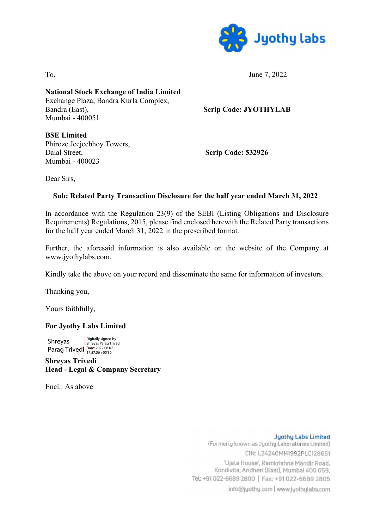

To, June 7, 2022

National Stock Exchange of India Limited Exchange Plaza, Bandra Kurla Complex, Bandra (East), Scrip Code: JYOTHYLAB Mumbai - 400051

BSE Limited Phiroze Jeejeebhoy Towers, Dalal Street, Scrip Code: 532926 Mumbai - 400023

Dear Sirs,

## Sub: Related Party Transaction Disclosure for the half year ended March 31, 2022

In accordance with the Regulation 23(9) of the SEBI (Listing Obligations and Disclosure Requirements) Regulations, 2015, please find enclosed herewith the Related Party transactions for the half year ended March 31, 2022 in the prescribed format.

Further, the aforesaid information is also available on the website of the Company at www.jyothylabs.com.

Kindly take the above on your record and disseminate the same for information of investors.

Thanking you,

Yours faithfully,

## For Jyothy Labs Limited

Shreyas Shreyas Parag Trivedi<br>Parag Trivedi <sup>Date: 2022.06.07</sup><br>17:57:56 +05'30' Digitally signed by

Shreyas Trivedi Head - Legal & Company Secretary

 $End \cdot As above$ 

**Juothy Labs Limited** (Formerly known as Jyothy Laboratories Limited) CIN: L24240MH1992PLC128651 'Ujala House', Ramkrishna Mandir Road, Kondivita, Andheri (East), Mumbai 400 059. Tel: +91 022-6689 2800 | Fax: +91 022-6689 2805 info@jyothy.com | www.jyothylabs.com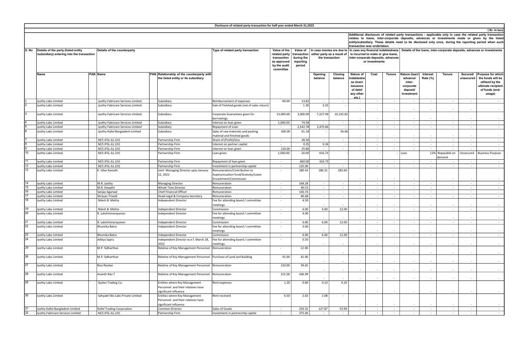| 22                                             |                                                                                                                                                                                                                                                                                                                                                         |                                                                                    |                                                                                            |                                      |                                                                            |                                                      |                                      |                                    |                                                                                                             |  |  |  |  |  |  |  |
|------------------------------------------------|---------------------------------------------------------------------------------------------------------------------------------------------------------------------------------------------------------------------------------------------------------------------------------------------------------------------------------------------------------|------------------------------------------------------------------------------------|--------------------------------------------------------------------------------------------|--------------------------------------|----------------------------------------------------------------------------|------------------------------------------------------|--------------------------------------|------------------------------------|-------------------------------------------------------------------------------------------------------------|--|--|--|--|--|--|--|
| (Rs. In lacs)                                  |                                                                                                                                                                                                                                                                                                                                                         |                                                                                    |                                                                                            |                                      |                                                                            |                                                      |                                      |                                    |                                                                                                             |  |  |  |  |  |  |  |
|                                                | Additional disclosure of related party transactions - applicable only in case the related party transaction<br>relates to loans, inter-corporate deposits, advances or investments made or given by the listed<br>entity/subsidiary. These details need to be disclosed only once, during the reporting period when such<br>transaction was undertaken. |                                                                                    |                                                                                            |                                      |                                                                            |                                                      |                                      |                                    |                                                                                                             |  |  |  |  |  |  |  |
| either party as a result of<br>the transaction | In case monies are due to                                                                                                                                                                                                                                                                                                                               | In case any financial indebtedness                                                 | is incurred to make or give loans,<br>inter-corporate deposits, advances<br>or investments |                                      | Details of the loans, inter-corporate deposits, advances or investments    |                                                      |                                      |                                    |                                                                                                             |  |  |  |  |  |  |  |
| Opening<br>balance                             | Closing<br>balance                                                                                                                                                                                                                                                                                                                                      | Nature of<br>indebtedne<br>ss (loan/<br>issuance<br>of debt/<br>any other<br>etc.) | Cost                                                                                       | <b>Tenure</b>                        | Nature (Ioan/<br>advance/<br>inter-<br>corporate<br>deposit/<br>investment | Interest<br>Rate (%)                                 | <b>Tenure</b>                        | Secured/<br>unsecured              | Purpose for which<br>the funds will be<br>utilised by the<br>ultimate recipient<br>of funds (end-<br>usage) |  |  |  |  |  |  |  |
|                                                | $\overline{\phantom{a}}$                                                                                                                                                                                                                                                                                                                                | $\overline{\phantom{a}}$                                                           | $\bar{z}$                                                                                  | $\omega$                             | $\sim$                                                                     | $\overline{\phantom{a}}$                             | $\omega$                             | $\omega$                           | $\overline{\phantom{a}}$                                                                                    |  |  |  |  |  |  |  |
| 3.35                                           | ÷,                                                                                                                                                                                                                                                                                                                                                      | $\overline{\phantom{a}}$                                                           | $\overline{\phantom{a}}$                                                                   | $\overline{\phantom{a}}$             | $\overline{\phantom{a}}$                                                   | $\overline{\phantom{a}}$                             | $\overline{\phantom{a}}$             | $\sim$                             | $\overline{\phantom{a}}$                                                                                    |  |  |  |  |  |  |  |
| 7,227.94                                       | 10,142.82                                                                                                                                                                                                                                                                                                                                               | $\overline{a}$                                                                     | $\overline{\phantom{a}}$                                                                   | ٠                                    | ٠                                                                          | ٠                                                    | ٠                                    | ٠                                  |                                                                                                             |  |  |  |  |  |  |  |
| $\overline{\phantom{a}}$                       | $\overline{\phantom{a}}$<br>$\blacksquare$                                                                                                                                                                                                                                                                                                              | $\overline{\phantom{a}}$<br>$\sim$                                                 | $\overline{\phantom{a}}$<br>$\bar{a}$                                                      | $\overline{\phantom{a}}$<br>$\omega$ | $\sim$<br>$\sim$                                                           | $\overline{\phantom{a}}$<br>$\sim$                   | $\sim$<br>$\omega$                   | $\sim$<br>$\omega$                 | $\overline{\phantom{a}}$<br>٠                                                                               |  |  |  |  |  |  |  |
| 2,475.66                                       | 34.66                                                                                                                                                                                                                                                                                                                                                   |                                                                                    |                                                                                            |                                      |                                                                            |                                                      |                                      |                                    |                                                                                                             |  |  |  |  |  |  |  |
| $\omega$                                       | $\omega$                                                                                                                                                                                                                                                                                                                                                | $\overline{\phantom{a}}$<br>$\sim$                                                 | $\overline{\phantom{a}}$<br>ä,                                                             | $\overline{\phantom{a}}$<br>÷        | $\sim$<br>$\sim$                                                           | $\overline{\phantom{a}}$<br>×.                       | $\overline{\phantom{a}}$<br>$\omega$ | $\sim$<br>$\sim$                   | $\overline{\phantom{a}}$<br>٠                                                                               |  |  |  |  |  |  |  |
| 0.24                                           | $\overline{\phantom{a}}$                                                                                                                                                                                                                                                                                                                                | $\blacksquare$                                                                     | ÷,                                                                                         | $\overline{\phantom{a}}$             | $\overline{\phantom{a}}$                                                   | $\overline{\phantom{a}}$                             | $\overline{\phantom{a}}$             | $\overline{\phantom{a}}$           | $\overline{a}$                                                                                              |  |  |  |  |  |  |  |
| $\overline{\phantom{a}}$                       | $\overline{\phantom{a}}$                                                                                                                                                                                                                                                                                                                                | $\blacksquare$                                                                     | $\overline{\phantom{a}}$                                                                   | $\overline{\phantom{a}}$             | $\sim$                                                                     | $\overline{\phantom{a}}$                             | $\sim$                               | $\sim$                             | $\overline{\phantom{a}}$                                                                                    |  |  |  |  |  |  |  |
| 416.73                                         |                                                                                                                                                                                                                                                                                                                                                         | ä,                                                                                 | ÷,                                                                                         | ÷,                                   | Loan                                                                       |                                                      | 12% Repayable on<br>demand           | Unsecured                          | <b>Business Purpose</b>                                                                                     |  |  |  |  |  |  |  |
| 416.73                                         | $\overline{\phantom{a}}$                                                                                                                                                                                                                                                                                                                                | $\blacksquare$                                                                     | $\overline{\phantom{a}}$                                                                   | $\overline{\phantom{a}}$             | $\overline{\phantom{a}}$                                                   | $\sim$                                               | $\sim$                               | $\sim$                             | $\overline{\phantom{a}}$                                                                                    |  |  |  |  |  |  |  |
| $\omega$<br>186.31                             | $\overline{\phantom{a}}$<br>283.60                                                                                                                                                                                                                                                                                                                      | ÷,                                                                                 | ÷,                                                                                         | $\overline{\phantom{a}}$             | ×.                                                                         | $\sim$                                               | $\overline{\phantom{a}}$             | $\overline{\phantom{a}}$           | ä,                                                                                                          |  |  |  |  |  |  |  |
|                                                |                                                                                                                                                                                                                                                                                                                                                         | $\overline{\phantom{a}}$                                                           | ÷,                                                                                         | $\overline{\phantom{a}}$             | ٠                                                                          | $\overline{\phantom{a}}$                             | $\overline{\phantom{a}}$             | $\sim$                             |                                                                                                             |  |  |  |  |  |  |  |
| $\overline{\phantom{a}}$<br>$\sim$             | $\overline{\phantom{a}}$<br>$\sim$                                                                                                                                                                                                                                                                                                                      | ÷,<br>$\blacksquare$                                                               | ÷,<br>$\overline{\phantom{a}}$                                                             | $\overline{\phantom{a}}$<br>$\sim$   | ÷,<br>$\sim$                                                               | $\overline{\phantom{a}}$<br>$\overline{\phantom{a}}$ | $\overline{\phantom{a}}$<br>$\sim$   | $\overline{\phantom{a}}$<br>$\sim$ | ÷,<br>$\overline{\phantom{a}}$                                                                              |  |  |  |  |  |  |  |
| $\overline{\phantom{a}}$                       | ×.                                                                                                                                                                                                                                                                                                                                                      | $\overline{\phantom{a}}$                                                           | ÷,                                                                                         | ÷.                                   | $\sim$                                                                     | ÷.                                                   | $\overline{\phantom{a}}$             | $\sim$                             | ä,                                                                                                          |  |  |  |  |  |  |  |
| $\overline{\phantom{a}}$                       | $\overline{\phantom{a}}$                                                                                                                                                                                                                                                                                                                                | $\overline{\phantom{a}}$                                                           | $\overline{\phantom{a}}$                                                                   | $\overline{\phantom{a}}$             | $\overline{\phantom{a}}$                                                   | $\overline{\phantom{a}}$                             | $\overline{\phantom{a}}$             | $\overline{\phantom{a}}$           | $\overline{\phantom{a}}$                                                                                    |  |  |  |  |  |  |  |
|                                                |                                                                                                                                                                                                                                                                                                                                                         | $\overline{\phantom{a}}$                                                           | ٠                                                                                          | ٠                                    | $\sim$                                                                     | $\overline{\phantom{a}}$                             | ٠                                    | ٠                                  |                                                                                                             |  |  |  |  |  |  |  |
| 6.00                                           | 12.00                                                                                                                                                                                                                                                                                                                                                   | ÷,                                                                                 | ÷,                                                                                         | $\overline{\phantom{a}}$             | $\overline{\phantom{a}}$                                                   | $\overline{\phantom{a}}$                             | $\overline{\phantom{a}}$             | $\overline{\phantom{a}}$           | ä,                                                                                                          |  |  |  |  |  |  |  |
|                                                |                                                                                                                                                                                                                                                                                                                                                         |                                                                                    |                                                                                            |                                      |                                                                            |                                                      |                                      |                                    |                                                                                                             |  |  |  |  |  |  |  |
| 6.00                                           | 12.00                                                                                                                                                                                                                                                                                                                                                   | ä,<br>$\overline{\phantom{a}}$                                                     | ÷                                                                                          | $\overline{\phantom{a}}$             |                                                                            |                                                      |                                      |                                    | $\overline{a}$                                                                                              |  |  |  |  |  |  |  |
|                                                |                                                                                                                                                                                                                                                                                                                                                         |                                                                                    |                                                                                            | ٠                                    |                                                                            |                                                      |                                      |                                    |                                                                                                             |  |  |  |  |  |  |  |
| 6.00                                           | 12.00                                                                                                                                                                                                                                                                                                                                                   | ÷,                                                                                 | ÷,                                                                                         | $\overline{\phantom{a}}$             | $\overline{\phantom{a}}$                                                   | $\overline{\phantom{a}}$                             |                                      | $\overline{\phantom{a}}$           |                                                                                                             |  |  |  |  |  |  |  |
|                                                | $\overline{\phantom{a}}$                                                                                                                                                                                                                                                                                                                                | ä,                                                                                 | ٠                                                                                          | ä,                                   |                                                                            | ÷,                                                   |                                      | $\sim$                             |                                                                                                             |  |  |  |  |  |  |  |
| $\overline{\phantom{a}}$                       | $\overline{\phantom{a}}$                                                                                                                                                                                                                                                                                                                                | $\overline{\phantom{a}}$                                                           | $\overline{a}$                                                                             | $\overline{\phantom{a}}$             | $\overline{\phantom{a}}$                                                   | $\overline{\phantom{a}}$                             | $\sim$                               | $\sim$                             | $\overline{\phantom{a}}$                                                                                    |  |  |  |  |  |  |  |
|                                                | $\overline{\phantom{a}}$                                                                                                                                                                                                                                                                                                                                |                                                                                    |                                                                                            | $\overline{\phantom{a}}$             |                                                                            | $\overline{\phantom{a}}$                             |                                      | $\overline{\phantom{a}}$           |                                                                                                             |  |  |  |  |  |  |  |
|                                                | $\overline{\phantom{a}}$                                                                                                                                                                                                                                                                                                                                | ÷,                                                                                 |                                                                                            | $\overline{\phantom{a}}$             |                                                                            | ÷,                                                   |                                      | $\overline{\phantom{a}}$           |                                                                                                             |  |  |  |  |  |  |  |
|                                                |                                                                                                                                                                                                                                                                                                                                                         |                                                                                    |                                                                                            |                                      |                                                                            |                                                      |                                      |                                    |                                                                                                             |  |  |  |  |  |  |  |
| 0.10                                           | $\overline{\phantom{a}}$<br>0.10                                                                                                                                                                                                                                                                                                                        | $\overline{\phantom{a}}$                                                           | $\overline{a}$                                                                             | $\overline{\phantom{a}}$             | ٠                                                                          | $\overline{\phantom{a}}$                             | ٠                                    | $\sim$                             | $\sim$                                                                                                      |  |  |  |  |  |  |  |
|                                                |                                                                                                                                                                                                                                                                                                                                                         | $\overline{\phantom{a}}$                                                           | $\overline{\phantom{a}}$                                                                   | $\overline{\phantom{a}}$             | $\overline{\phantom{a}}$                                                   | $\overline{\phantom{a}}$                             | $\overline{\phantom{a}}$             | $\overline{\phantom{a}}$           | $\overline{\phantom{a}}$                                                                                    |  |  |  |  |  |  |  |
| 2.08                                           | $\overline{\phantom{a}}$                                                                                                                                                                                                                                                                                                                                | $\overline{\phantom{a}}$                                                           | $\overline{\phantom{a}}$                                                                   | $\overline{\phantom{a}}$             | $\sim$                                                                     | $\overline{\phantom{a}}$                             | $\overline{\phantom{a}}$             | $\overline{\phantom{a}}$           |                                                                                                             |  |  |  |  |  |  |  |
| 127.87                                         | 53.99                                                                                                                                                                                                                                                                                                                                                   | ÷,                                                                                 | ÷,                                                                                         | $\overline{\phantom{a}}$             | ÷.                                                                         | $\overline{\phantom{a}}$                             |                                      | $\overline{\phantom{a}}$           | ä,                                                                                                          |  |  |  |  |  |  |  |
| $\overline{\phantom{a}}$                       | ÷.                                                                                                                                                                                                                                                                                                                                                      | ÷,                                                                                 | ä,                                                                                         | $\overline{\phantom{a}}$             | $\overline{\phantom{a}}$                                                   | $\overline{\phantom{a}}$                             |                                      | $\overline{\phantom{a}}$           |                                                                                                             |  |  |  |  |  |  |  |

|                 |                                                                                                                                                                                                                                                                                                                                                 |                                   |                                                                                              | Disclosure of related party transaction for half year ended March 31,2022                   |                                   |                                                                                                    |                    |                                                                                            |                                                                                          |            |                                                                                                            |                                                                            |                      |                            |                          |                                                                                                    |
|-----------------|-------------------------------------------------------------------------------------------------------------------------------------------------------------------------------------------------------------------------------------------------------------------------------------------------------------------------------------------------|-----------------------------------|----------------------------------------------------------------------------------------------|---------------------------------------------------------------------------------------------|-----------------------------------|----------------------------------------------------------------------------------------------------|--------------------|--------------------------------------------------------------------------------------------|------------------------------------------------------------------------------------------|------------|------------------------------------------------------------------------------------------------------------|----------------------------------------------------------------------------|----------------------|----------------------------|--------------------------|----------------------------------------------------------------------------------------------------|
|                 |                                                                                                                                                                                                                                                                                                                                                 |                                   |                                                                                              |                                                                                             |                                   |                                                                                                    |                    |                                                                                            |                                                                                          |            |                                                                                                            |                                                                            |                      |                            |                          | (Rs. In la                                                                                         |
|                 | Additional disclosure of related party transactions - applicable only in case the related party transact<br>relates to loans, inter-corporate deposits, advances or investments made or given by the lis<br>entity/subsidiary. These details need to be disclosed only once, during the reporting period when st<br>transaction was undertaken. |                                   |                                                                                              |                                                                                             |                                   |                                                                                                    |                    |                                                                                            |                                                                                          |            |                                                                                                            |                                                                            |                      |                            |                          |                                                                                                    |
|                 | S. No  Details of the party (listed entity<br>/subsidiary) entering into the transaction                                                                                                                                                                                                                                                        | Details of the counterparty       | Type of related party transaction                                                            | Value of the<br>related party<br>transaction<br>as approved<br>by the audit<br>committee    | during the<br>reporting<br>period | Value of   In case monies are due to<br>transaction either party as a result of<br>the transaction |                    | is incurred to make or give loans,<br>inter-corporate deposits, advances<br>or investments |                                                                                          |            | In case any financial indebtedness   Details of the loans, inter-corporate deposits, advances or investmen |                                                                            |                      |                            |                          |                                                                                                    |
|                 | <b>Name</b>                                                                                                                                                                                                                                                                                                                                     | <b>PAN Name</b>                   | PAN Relationship of the counterparty with<br>the listed entity or its subsidiary             |                                                                                             |                                   |                                                                                                    | Opening<br>balance | Closing<br>balance                                                                         | <b>Nature of</b><br>ndebtedne<br>ss (loan/<br>issuance<br>of debt/<br>any other<br>etc.) | Cost       | <b>Tenure</b>                                                                                              | Nature (Ioan/<br>advance/<br>inter-<br>corporate<br>deposit/<br>investment | Interest<br>Rate (%) | <b>Tenure</b>              | Secured/<br>unsecured    | Purpose for wh<br>the funds will<br>utilised by the<br>ultimate recipie<br>of funds (end<br>usage) |
|                 | Jyothy Labs Limited                                                                                                                                                                                                                                                                                                                             | Jyothy Fabricare Services Limited | Subsidiary                                                                                   | Reimbursement of expenses                                                                   | 60.00                             | 13.82                                                                                              | $\sim$             | $\sim$                                                                                     |                                                                                          |            | $\sim$                                                                                                     | $\sim$                                                                     |                      | $\sim$                     | $\sim$                   |                                                                                                    |
|                 | Jyothy Labs Limited                                                                                                                                                                                                                                                                                                                             | Jyothy Fabricare Services Limited | Subsidiary                                                                                   | Sale of Finished goods (net of sales return)                                                |                                   | 1.30                                                                                               | 3.35               |                                                                                            | $\sim$                                                                                   | $\sim$     | $\sim$                                                                                                     | $\sim$                                                                     |                      | $\sim$                     | $\overline{\phantom{a}}$ |                                                                                                    |
|                 | Jyothy Labs Limited                                                                                                                                                                                                                                                                                                                             | Jyothy Fabricare Services Limited | Subsidiary                                                                                   | Corporate Guarantees given for<br>borrowings.                                               | 13,000.00                         | 3,000.00                                                                                           | 7,227.94           | 10,142.82                                                                                  |                                                                                          |            | $\sim$                                                                                                     | $\sim$                                                                     | $\sim$               | $\sim$                     | $\sim$                   |                                                                                                    |
|                 | Jyothy Labs Limited                                                                                                                                                                                                                                                                                                                             | Jyothy Fabricare Services Limited | Subsidiary                                                                                   | Interest on loan given                                                                      | 1,000.00                          | 74.58                                                                                              |                    | $\sim$                                                                                     | $\sim$                                                                                   | $\sim$     | $\sim$                                                                                                     | $\sim$                                                                     | $\sim$               | $\sim$                     | $\sim$                   |                                                                                                    |
|                 | Jyothy Labs Limited                                                                                                                                                                                                                                                                                                                             | Jyothy Fabricare Services Limited | Subsidiary                                                                                   | Repayment of Loan                                                                           |                                   | 2,542.78                                                                                           | 2,475.66           |                                                                                            |                                                                                          | $\sim$     | $\sim$                                                                                                     | $\sim$                                                                     | $\sim$               | $\sim$                     | $\sim$                   |                                                                                                    |
|                 | Jyothy Labs Limited                                                                                                                                                                                                                                                                                                                             | Jyothy Kallol Bangladesh Limited  | Subsidiary                                                                                   | Sales of raw materials and packing<br>material and finished goods                           | 100.00                            | 61.18                                                                                              |                    | 34.66                                                                                      |                                                                                          | $\sim$     | $\sim$                                                                                                     | $\sim$                                                                     |                      | $\sim$                     | $\sim$                   |                                                                                                    |
|                 | Jyothy Labs Limited                                                                                                                                                                                                                                                                                                                             | M/S JFSL-JLL (JV)                 | Partnership Firm                                                                             | Share of (Profit)/loss                                                                      |                                   | 28.36                                                                                              | $\sim$             | $\sim$                                                                                     |                                                                                          |            | $\sim$                                                                                                     | $\sim$                                                                     | $\sim$               | $\sim$                     | $\sim$                   |                                                                                                    |
|                 | Jyothy Labs Limited                                                                                                                                                                                                                                                                                                                             | M/S JFSL-JLL (JV)                 | Partnership Firm                                                                             | Interest on partner capital                                                                 | $\sim$                            | 0.35                                                                                               | 0.24               |                                                                                            | $\sim$                                                                                   | $\sim$     | $\sim 10^{-1}$                                                                                             | $\sim$ $-$                                                                 | $\sim$               | $\sim$                     | $\sim$ $-$               |                                                                                                    |
| 9               | Jyothy Labs Limited                                                                                                                                                                                                                                                                                                                             | M/S JFSL-JLL (JV)                 | Partnership Firm                                                                             | Interest on loan given                                                                      | 120.00                            | 25.86                                                                                              |                    | $\sim$                                                                                     | $\sim$                                                                                   | $\sim$     | $\sim$                                                                                                     | $\sim$                                                                     |                      | $\sim$                     |                          |                                                                                                    |
| 10              | Jyothy Labs Limited                                                                                                                                                                                                                                                                                                                             | M/S JFSL-JLL (JV)                 | Partnership Firm                                                                             | Loan given                                                                                  | 1,000.00                          | 20.00                                                                                              | 416.73             |                                                                                            |                                                                                          |            |                                                                                                            | Loan                                                                       |                      | 12% Repayable on<br>demand |                          | Unsecured   Business Purpos                                                                        |
| 11              | Jyothy Labs Limited                                                                                                                                                                                                                                                                                                                             | M/S JFSL-JLL (JV)                 | Partnership Firm                                                                             | Repayment of loan given                                                                     | $\sim$                            | 460.00                                                                                             | 416.73             |                                                                                            | $\sim$                                                                                   | $\sim$     | $\sim$                                                                                                     | $\sim$                                                                     |                      | $\sim$                     | $\sim$                   |                                                                                                    |
| 12              | Jyothy Labs Limited                                                                                                                                                                                                                                                                                                                             | M/S JFSL-JLL (JV)                 | Partnership Firm                                                                             | Investment in partnership capital                                                           | $\overline{\phantom{a}}$          | 125.00                                                                                             |                    | $\sim$                                                                                     |                                                                                          |            | $\sim$                                                                                                     | $\sim$                                                                     |                      | $\sim$                     | $\sim$                   |                                                                                                    |
| 13              | Jyothy Labs Limited                                                                                                                                                                                                                                                                                                                             | K. Ullas Kamath                   | Joint Managing Director upto January<br>22, 2022                                             | Remuneration/Contribution to<br>Superannuation fund/Gratuity/Leave<br>Encashment/Commission |                                   | 280.43                                                                                             | 186.31             | 283.60                                                                                     |                                                                                          |            |                                                                                                            |                                                                            |                      |                            |                          |                                                                                                    |
| 14              | Jyothy Labs Limited                                                                                                                                                                                                                                                                                                                             | M.R. Jyothy                       | Managing Director                                                                            | Remuneration                                                                                | $\sim$ $-$                        | 164.28                                                                                             | $\sim$ $-$         | $\sim$                                                                                     | $\sim$                                                                                   | $\sim$ $-$ | $\sim$ $-$                                                                                                 | $\sim$ $-$                                                                 | $\sim$ $-$           | $\sim$                     | $\sim$                   |                                                                                                    |
| 15              | Jyothy Labs Limited                                                                                                                                                                                                                                                                                                                             | M.R. Deepthi                      | <b>Whole Time Director</b>                                                                   | Remuneration                                                                                | $\sim$                            | 40.53                                                                                              | $\sim$             | $\sim$                                                                                     |                                                                                          | $\sim$     | $\sim$                                                                                                     | $\sim$                                                                     | $\sim$               | $\sim$                     | $\sim$ $-$               |                                                                                                    |
| 16              | Jyothy Labs Limited                                                                                                                                                                                                                                                                                                                             | Sanjay Agarwal                    | Chief Financial Officer                                                                      | Remuneration                                                                                | $\sim$                            | 140.74                                                                                             | $\sim$             | $\sim$                                                                                     |                                                                                          |            | $\sim$                                                                                                     | $\sim$                                                                     | $\sim$               | $\sim$                     | $\sim$                   |                                                                                                    |
| 17              | Jyothy Labs Limited                                                                                                                                                                                                                                                                                                                             | Shrevas Trivedi                   | Head-Legal & Company Secretary                                                               | Remuneration                                                                                | $\sim$                            | 46.68                                                                                              | $\sim$             | $\sim$                                                                                     | $\sim$                                                                                   | $\sim$     | $\sim$                                                                                                     | $\sim$                                                                     | $\sim$               | $\sim$                     | $\sim$ $-$               |                                                                                                    |
| 18              | Jyothy Labs Limited                                                                                                                                                                                                                                                                                                                             | Nilesh B. Mehta                   | Independent Director                                                                         | Fee for attending board / committee<br>meetings                                             |                                   | 4.50                                                                                               |                    |                                                                                            |                                                                                          |            |                                                                                                            |                                                                            |                      |                            |                          |                                                                                                    |
| 19              | Jyothy Labs Limited                                                                                                                                                                                                                                                                                                                             | Nilesh B. Mehta                   | <b>Independent Director</b>                                                                  | Commission                                                                                  | $\sim$                            | 6.00                                                                                               | 6.00               | 12.00                                                                                      | $\sim$                                                                                   | $\sim$     | $\sim$                                                                                                     | $\sim$                                                                     | $\sim$               | $\sim$                     | $\sim$ $-$               |                                                                                                    |
| 20              | Jyothy Labs Limited                                                                                                                                                                                                                                                                                                                             | R. Lakshminarayanan               | <b>Independent Director</b>                                                                  | Fee for attending board / committee<br>meetings                                             |                                   | 4.00                                                                                               |                    |                                                                                            |                                                                                          |            |                                                                                                            |                                                                            |                      |                            |                          |                                                                                                    |
| $\overline{21}$ | Jyothy Labs Limited                                                                                                                                                                                                                                                                                                                             | R. Lakshminarayanan               | ndependent Director                                                                          | Commission                                                                                  | $\sim$                            | 6.00                                                                                               | 6.00               | 12.00                                                                                      | $\sim$                                                                                   | $\sim$     | $\sim$                                                                                                     | $\sim$                                                                     | $\sim$               | $\sim$                     | $\sim$                   |                                                                                                    |
| $\overline{22}$ | Jyothy Labs Limited                                                                                                                                                                                                                                                                                                                             | Bhumika Batra                     | <b>Independent Director</b>                                                                  | Fee for attending board / committee<br>meetings                                             | $\overline{\phantom{a}}$          | 3.00                                                                                               |                    |                                                                                            |                                                                                          |            | $\sim$                                                                                                     |                                                                            |                      | $\overline{\phantom{a}}$   |                          |                                                                                                    |
| 23              | Jyothy Labs Limited                                                                                                                                                                                                                                                                                                                             | Bhumika Batra                     | <b>Independent Director</b>                                                                  | Commission                                                                                  | $\sim$                            | 6.00                                                                                               | 6.00               | 12.00                                                                                      | $\sim$                                                                                   | $\sim$     | $\sim$                                                                                                     | $\sim$                                                                     | $\sim$               | $\sim$                     | $\sim$ $-$               |                                                                                                    |
| $\overline{24}$ | Jyothy Labs Limited                                                                                                                                                                                                                                                                                                                             | Aditya Sapru                      | Independent Director w.e.f. March 28,<br>2022                                                | Fee for attending board / committee<br>meetings                                             |                                   | 0.50                                                                                               |                    |                                                                                            |                                                                                          |            |                                                                                                            |                                                                            |                      |                            |                          |                                                                                                    |
| 25              | Jyothy Labs Limited                                                                                                                                                                                                                                                                                                                             | M.P. Sidharthan                   | Relative of Key Management Personnel                                                         | Remuneration                                                                                | $\sim$                            | 12.00                                                                                              | $\sim$             | $\sim$                                                                                     | $\overline{\phantom{a}}$                                                                 | $\sim$     | $\sim$                                                                                                     | $\sim$                                                                     | $\sim$               | $\sim$                     | $\sim$                   |                                                                                                    |
| 26              | Jyothy Labs Limited                                                                                                                                                                                                                                                                                                                             | M.P. Sidharthan                   | Relative of Key Management Personnel   Purchase of Land and Building                         |                                                                                             | 41.00                             | 41.00                                                                                              | $\sim$             | $\sim$                                                                                     | $\sim$                                                                                   | $\sim$     | $\sim$                                                                                                     | $\sim$                                                                     | $\sim$               | $\sim$                     | $\sim$                   |                                                                                                    |
| 27              | Jyothy Labs Limited                                                                                                                                                                                                                                                                                                                             | Ravi Razdan                       | Relative of Key Management Personnel Remuneration                                            |                                                                                             | 120.00                            | 59.65                                                                                              |                    | $\sim$                                                                                     |                                                                                          |            |                                                                                                            |                                                                            |                      |                            |                          |                                                                                                    |
| 28              | Jyothy Labs Limited                                                                                                                                                                                                                                                                                                                             | Ananth Rao T                      | Relative of Key Management Personnel Remuneration                                            |                                                                                             | 215.00                            | 106.99                                                                                             |                    |                                                                                            | $\sim$                                                                                   | $\sim$     | $\sim$                                                                                                     | $\sim$                                                                     |                      | $\sim$                     |                          |                                                                                                    |
| 29              | Jyothy Labs Limited                                                                                                                                                                                                                                                                                                                             | Quilon Trading Co.                | Entities where Key Management<br>Personnel and their relatives have<br>significant influence | Rent expenses                                                                               | 1.20                              | 0.60                                                                                               | 0.10               | 0.10                                                                                       | $\sim$                                                                                   | $\sim$     |                                                                                                            |                                                                            |                      |                            |                          |                                                                                                    |
| 30              | Jyothy Labs Limited                                                                                                                                                                                                                                                                                                                             | Sahyadri Bio Labs Private Limited | Entities where Key Management<br>Personnel and their relatives have<br>significant influence | Rent received                                                                               | 6.50                              | 2.63                                                                                               | 2.08               | $\sim$                                                                                     | $\sim$                                                                                   |            | $\sim$                                                                                                     | $\sim$                                                                     |                      | $\sim$                     |                          |                                                                                                    |
| 31              | Jyothy Kallol Bangladesh Limited                                                                                                                                                                                                                                                                                                                | Kallol Trading Corporation        | Common Director                                                                              | Sales of Goods                                                                              | $\sim$                            | 250.32                                                                                             | 127.87             | 53.99                                                                                      | $\sim$                                                                                   | $\sim$     | $\sim$                                                                                                     | $\sim$                                                                     | $\sim$               | $\sim$                     | $\sim$                   |                                                                                                    |
| $\overline{32}$ | Jyothy Fabricare Services Limited                                                                                                                                                                                                                                                                                                               | M/S JFSL-JLL (JV)                 | Partnership Firm                                                                             | Investment in partnership capital                                                           | $\sim$                            | 375.00                                                                                             | $\sim$ $-$         | $\sim$ $-$                                                                                 | $\sim$                                                                                   | $\sim$ $-$ | $\sim 10^{-1}$                                                                                             | $\sim$                                                                     | $\sim$               | $\sim$                     | $\sim$                   |                                                                                                    |